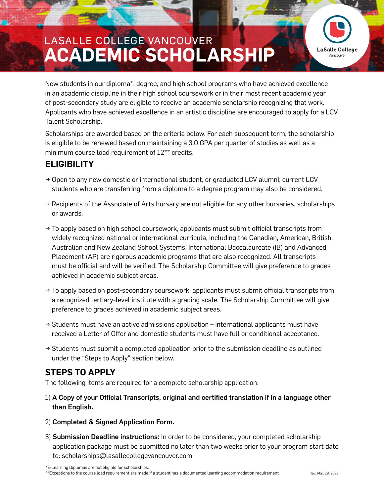## **ACADEMIC SCHOLARSHIP** LASALLE COLLEGE VANCOUVER



New students in our diploma\*, degree, and high school programs who have achieved excellence in an academic discipline in their high school coursework or in their most recent academic year of post-secondary study are eligible to receive an academic scholarship recognizing that work. Applicants who have achieved excellence in an artistic discipline are encouraged to apply for a LCV Talent Scholarship.

Scholarships are awarded based on the criteria below. For each subsequent term, the scholarship is eligible to be renewed based on maintaining a 3.0 GPA per quarter of studies as well as a minimum course load requirement of 12\*\* credits.

## **ELIGIBILITY**

- $\rightarrow$  Open to any new domestic or international student, or graduated LCV alumni; current LCV students who are transferring from a diploma to a degree program may also be considered.
- $\rightarrow$  Recipients of the Associate of Arts bursary are not eligible for any other bursaries, scholarships or awards.
- $\rightarrow$  To apply based on high school coursework, applicants must submit official transcripts from widely recognized national or international curricula, including the Canadian, American, British, Australian and New Zealand School Systems. International Baccalaureate (IB) and Advanced Placement (AP) are rigorous academic programs that are also recognized. All transcripts must be official and will be verified. The Scholarship Committee will give preference to grades achieved in academic subject areas.
- $\rightarrow$  To apply based on post-secondary coursework, applicants must submit official transcripts from a recognized tertiary-level institute with a grading scale. The Scholarship Committee will give preference to grades achieved in academic subject areas.
- $\rightarrow$  Students must have an active admissions application international applicants must have received a Letter of Offer and domestic students must have full or conditional acceptance.
- $\rightarrow$  Students must submit a completed application prior to the submission deadline as outlined under the "Steps to Apply" section below.

## **STEPS TO APPLY**

The following items are required for a complete scholarship application:

- 1) A Copy of your Official Transcripts, original and certified translation if in a language other than English.
- 2) Completed & Signed Application Form.
- 3) Submission Deadline instructions: In order to be considered, your completed scholarship application package must be submitted no later than two weeks prior to your program start date to: scholarships@lasallecollegevancouver.com.

\*E-Learning Diplomas are not eligible for scholarships.

\*\*Exceptions to the course load requirement are made if a student has a documented learning accommodation requirement. Rev. Mar. 29, 2022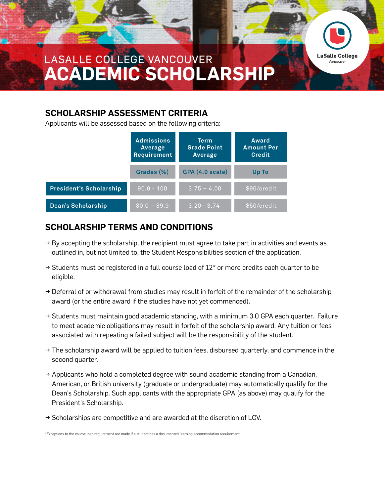

**LaSalle College** Vancouver

#### **SCHOLARSHIP ASSESSMENT CRITERIA**

Applicants will be assessed based on the following criteria:

|                                | <b>Admissions</b><br>Average<br>Requirement | <b>Term</b><br><b>Grade Point</b><br>Average | Award<br><b>Amount Per</b><br><b>Credit</b> |
|--------------------------------|---------------------------------------------|----------------------------------------------|---------------------------------------------|
|                                | Grades (%)                                  | GPA (4.0 scale)                              | Up To                                       |
| <b>President's Scholarship</b> | $90.0 - 100$                                | $3.75 - 4.00$                                | \$90/credit                                 |
| <b>Dean's Scholarship</b>      | $80.0 - 89.9$                               | $3.20 - 3.74$                                | \$50/credit                                 |

## **SCHOLARSHIP TERMS AND CONDITIONS**

- $\rightarrow$  By accepting the scholarship, the recipient must agree to take part in activities and events as outlined in, but not limited to, the Student Responsibilities section of the application.
- $\rightarrow$  Students must be registered in a full course load of 12\* or more credits each quarter to be eligible.
- → Deferral of or withdrawal from studies may result in forfeit of the remainder of the scholarship award (or the entire award if the studies have not yet commenced).
- → Students must maintain good academic standing, with a minimum 3.0 GPA each quarter. Failure to meet academic obligations may result in forfeit of the scholarship award. Any tuition or fees associated with repeating a failed subject will be the responsibility of the student.
- $\rightarrow$  The scholarship award will be applied to tuition fees, disbursed quarterly, and commence in the second quarter.
- $\rightarrow$  Applicants who hold a completed degree with sound academic standing from a Canadian, American, or British university (graduate or undergraduate) may automatically qualify for the Dean's Scholarship. Such applicants with the appropriate GPA (as above) may qualify for the President's Scholarship.
- $\rightarrow$  Scholarships are competitive and are awarded at the discretion of LCV.

\*Exceptions to the course load requirement are made if a student has a documented learning accommodation requirement.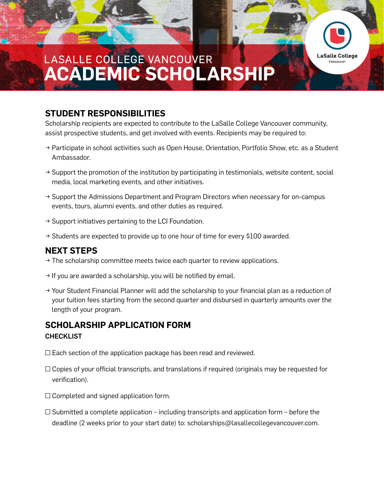# **ACADEMIC SCHOLARSHIP** LASALLE COLLEGE VANCOUVER

### **STUDENT RESPONSIBILITIES**

Scholarship recipients are expected to contribute to the LaSalle College Vancouver community, assist prospective students, and get involved with events. Recipients may be required to:

→ Participate in school activities such as Open House, Orientation, Portfolio Show, etc. as a Student Ambassador.

**LaSalle College** Vancouver

- $\rightarrow$  Support the promotion of the institution by participating in testimonials, website content, social media, local marketing events, and other initiatives.
- $\rightarrow$  Support the Admissions Department and Program Directors when necessary for on-campus events, tours, alumni events, and other duties as required.
- $\rightarrow$  Support initiatives pertaining to the LCI Foundation.
- $\rightarrow$  Students are expected to provide up to one hour of time for every \$100 awarded.

### **NEXT STEPS**

- $\rightarrow$  The scholarship committee meets twice each quarter to review applications.
- $\rightarrow$  If you are awarded a scholarship, you will be notified by email.
- $\rightarrow$  Your Student Financial Planner will add the scholarship to your financial plan as a reduction of your tuition fees starting from the second quarter and disbursed in quarterly amounts over the length of your program.

### **SCHOLARSHIP APPLICATION FORM**  CHECKLIST

- $\square$  Each section of the application package has been read and reviewed.
- $\Box$  Copies of your official transcripts, and translations if required (originals may be requested for verification).
- $\square$  Completed and signed application form.
- $\square$  Submitted a complete application including transcripts and application form before the deadline (2 weeks prior to your start date) to: scholarships@lasallecollegevancouver.com.